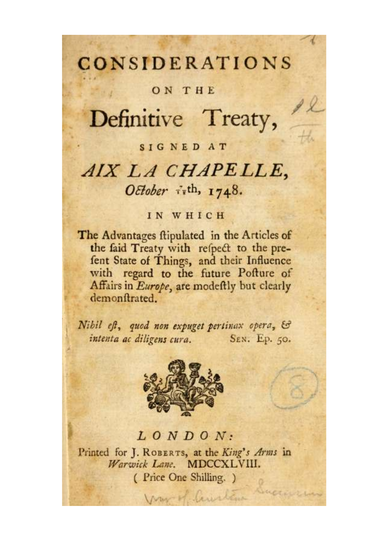### **CONSIDERATIONS**

#### ON THE

## Definitive Treaty,

#### SIGNED AT

### AIX LA CHAPELLE, October  $\vec{x}$ <sup>th</sup>, 1748.

#### IN WHICH

The Advantages ftipulated in the Articles of the faid Treaty with refpect to the prefent State of Things, and their Influence with regard to the future Pofture of Affairs in Europe, are modeftly but clearly demonftrated.

Nibil eft, quod non expuget pertinax opera, & intenta ac diligens cura. SEN. Ep. 50.



#### $LONDON:$

Printed for J. ROBERTS, at the King's Arms in Warwick Lane. MDCCXLVIII. (Price One Shilling.)

Mar M. Caustin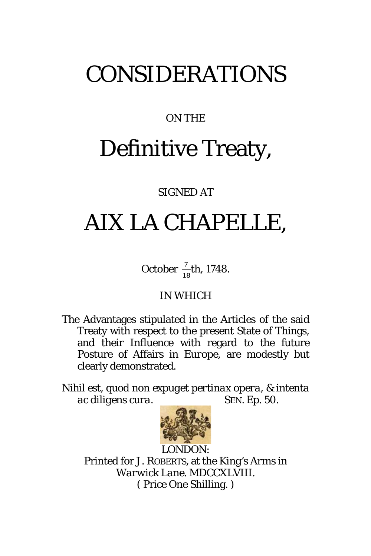## CONSIDERATIONS

### ON THE

# Definitive Treaty,

#### SIGNED AT

## *AIX LA CHAPELLE*,

October  $\frac{7}{18}$ th, 1748.

#### IN WHICH

The Advantages stipulated in the Articles of the said Treaty with respect to the present State of Things, and their Influence with regard to the future Posture of Affairs in *Europe*, are modestly but clearly demonstrated.

*Nihil est, quod non expuget pertinax opera, & intenta ac diligens cura.* SEN. Ep. 50.



Printed for J. ROBERTS, at the *King's Arms* in *Warwick Lane*. MDCCXLVIII. ( Price One Shilling. )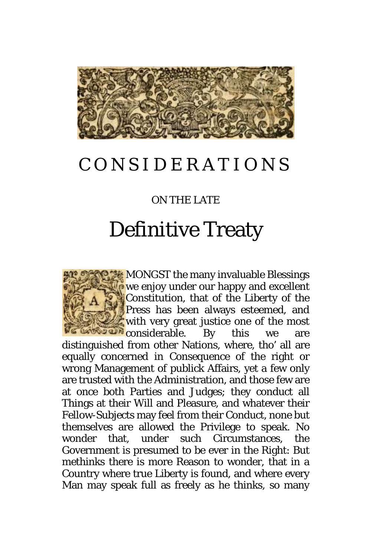

### CONSIDERATIONS

#### ON THE LATE

## Definitive Treaty

MONGST the many invaluable Blessings **P** we enjoy under our happy and excellent Constitution, that of the Liberty of the Press has been always esteemed, and with very great justice one of the most **EXECUTE:** considerable. By this we are distinguished from other Nations, where, tho' all are equally concerned in Consequence of the right or wrong Management of publick Affairs, yet a few only are trusted with the Administration, and those few are at once both Parties and Judges; they conduct all Things at their Will and Pleasure, and whatever their Fellow-Subjects may feel from their Conduct, none but themselves are allowed the Privilege to speak. No wonder that, under such Circumstances, the Government is presumed to be ever in the Right: But methinks there is more Reason to wonder, that in a Country where true Liberty is found, and where every Man may speak full as freely as he thinks, so many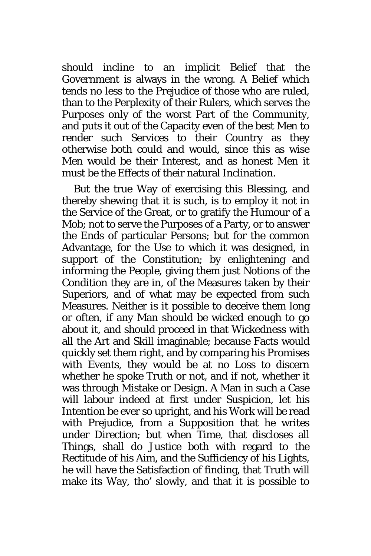should incline to an implicit Belief that the Government is always in the wrong. A Belief which tends no less to the Prejudice of those who are ruled, than to the Perplexity of their Rulers, which serves the Purposes only of the worst Part of the Community, and puts it out of the Capacity even of the best Men to render such Services to their Country as they otherwise both could and would, since this as wise Men would be their Interest, and as honest Men it must be the Effects of their natural Inclination.

But the true Way of exercising this Blessing, and thereby shewing that it is such, is to employ it not in the Service of the Great, or to gratify the Humour of a Mob; not to serve the Purposes of a Party, or to answer the Ends of particular Persons; but for the common Advantage, for the Use to which it was designed, in support of the Constitution; by enlightening and informing the People, giving them just Notions of the Condition they are in, of the Measures taken by their Superiors, and of what may be expected from such Measures. Neither is it possible to deceive them long or often, if any Man should be wicked enough to go about it, and should proceed in that Wickedness with all the Art and Skill imaginable; because Facts would quickly set them right, and by comparing his Promises with Events, they would be at no Loss to discern whether he spoke Truth or not, and if not, whether it was through Mistake or Design. A Man in such a Case will labour indeed at first under Suspicion, let his Intention be ever so upright, and his Work will be read with Prejudice, from a Supposition that he writes under Direction; but when Time, that discloses all Things, shall do Justice both with regard to the Rectitude of his Aim, and the Sufficiency of his Lights, he will have the Satisfaction of finding, that Truth will make its Way, tho' slowly, and that it is possible to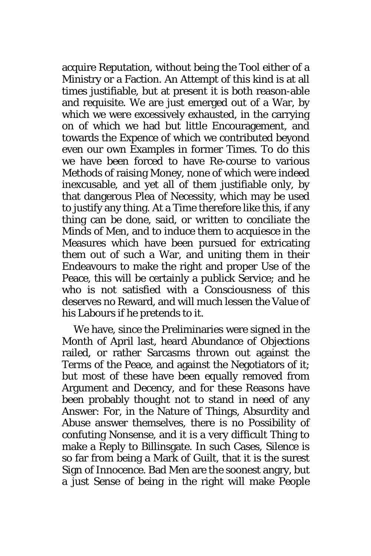acquire Reputation, without being the Tool either of a Ministry or a Faction. An Attempt of this kind is at all times justifiable, but at present it is both reason-able and requisite. We are just emerged out of a War, by which we were excessively exhausted, in the carrying on of which we had but little Encouragement, and towards the Expence of which we contributed beyond even our own Examples in former Times. To do this we have been forced to have Re-course to various Methods of raising Money, none of which were indeed inexcusable, and yet all of them justifiable only, by that dangerous Plea of Necessity, which may be used to justify any thing. At a Time therefore like this, if any thing can be done, said, or written to conciliate the Minds of Men, and to induce them to acquiesce in the Measures which have been pursued for extricating them out of such a War, and uniting them in their Endeavours to make the right and proper Use of the Peace, this will be certainly a publick Service; and he who is not satisfied with a Consciousness of this deserves no Reward, and will much lessen the Value of his Labours if he pretends to it.

We have, since the Preliminaries were signed in the Month of April last, heard Abundance of Objections railed, or rather Sarcasms thrown out against the Terms of the Peace, and against the Negotiators of it; but most of these have been equally removed from Argument and Decency, and for these Reasons have been probably thought not to stand in need of any Answer: For, in the Nature of Things, Absurdity and Abuse answer themselves, there is no Possibility of confuting Nonsense, and it is a very difficult Thing to make a Reply to Billinsgate. In such Cases, Silence is so far from being a Mark of Guilt, that it is the surest Sign of Innocence. Bad Men are the soonest angry, but a just Sense of being in the right will make People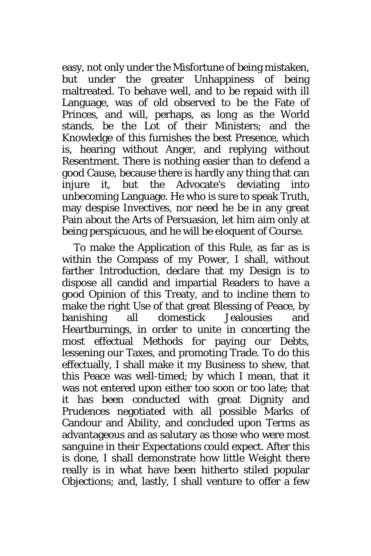easy, not only under the Misfortune of being mistaken, but under the greater Unhappiness of being maltreated. To behave well, and to be repaid with ill Language, was of old observed to be the Fate of Princes, and will, perhaps, as long as the World stands, be the Lot of their Ministers; and the Knowledge of this furnishes the best Presence, which is, hearing without Anger, and replying without Resentment. There is nothing easier than to defend a good Cause, because there is hardly any thing that can injure it, but the Advocate's deviating into unbecoming Language. He who is sure to speak Truth, may despise Invectives, nor need he be in any great Pain about the Arts of Persuasion, let him aim only at being perspicuous, and he will be eloquent of Course.

To make the Application of this Rule, as far as is within the Compass of my Power, I shall, without farther Introduction, declare that my Design is to dispose all candid and impartial Readers to have a good Opinion of this Treaty, and to incline them to make the right Use of that great Blessing of Peace, by banishing all domestick Jealousies and Heartburnings, in order to unite in concerting the most effectual Methods for paying our Debts, lessening our Taxes, and promoting Trade. To do this effectually, I shall make it my Business to shew, that this Peace was well-timed; by which I mean, that it was not entered upon either too soon or too late; that it has been conducted with great Dignity and Prudences negotiated with all possible Marks of Candour and Ability, and concluded upon Terms as advantageous and as salutary as those who were most sanguine in their Expectations could expect. After this is done, I shall demonstrate how little Weight there really is in what have been hitherto stiled popular Objections; and, lastly, I shall venture to offer a few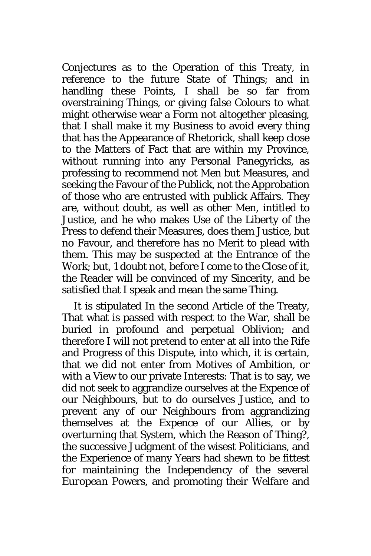Conjectures as to the Operation of this Treaty, in reference to the future State of Things; and in handling these Points, I shall be so far from overstraining Things, or giving false Colours to what might otherwise wear a Form not altogether pleasing, that I shall make it my Business to avoid every thing that has the Appearance of Rhetorick, shall keep close to the Matters of Fact that are within my Province, without running into any Personal Panegyricks, as professing to recommend not Men but Measures, and seeking the Favour of the Publick, not the Approbation of those who are entrusted with publick Affairs. They are, without doubt, as well as other Men, intitled to Justice, and he who makes Use of the Liberty of the Press to defend their Measures, does them Justice, but no Favour, and therefore has no Merit to plead with them. This may be suspected at the Entrance of the Work; but, 1 doubt not, before I come to the Close of it, the Reader will be convinced of my Sincerity, and be satisfied that I speak and mean the same Thing.

It is stipulated In the second Article of the Treaty, That what is passed with respect to the War, shall be buried in profound and perpetual Oblivion; and therefore I will not pretend to enter at all into the Rife and Progress of this Dispute, into which, it is certain, that we did not enter from Motives of Ambition, or with a View to our private Interests: That is to say, we did not seek to aggrandize ourselves at the Expence of our Neighbours, but to do ourselves Justice, and to prevent any of our Neighbours from aggrandizing themselves at the Expence of our Allies, or by overturning that System, which the Reason of Thing?, the successive Judgment of the wisest Politicians, and the Experience of many Years had shewn to be fittest for maintaining the Independency of the several *European* Powers, and promoting their Welfare and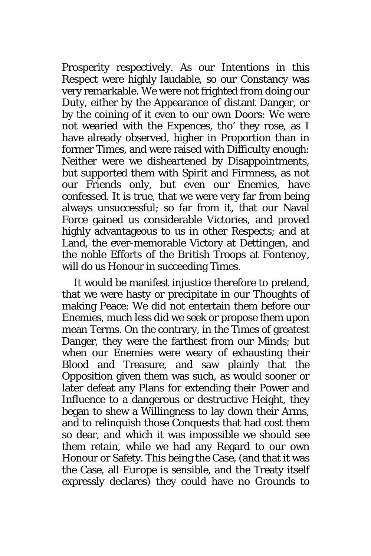Prosperity respectively. As our Intentions in this Respect were highly laudable, so our Constancy was very remarkable. We were not frighted from doing our Duty, either by the Appearance of distant Danger, or by the coining of it even to our own Doors: We were not wearied with the Expences, tho' they rose, as I have already observed, higher in Proportion than in former Times, and were raised with Difficulty enough: Neither were we disheartened by Disappointments, but supported them with Spirit and Firmness, as not our Friends only, but even our Enemies, have confessed. It is true, that we were very far from being always unsuccessful; so far from it, that our Naval Force gained us considerable Victories, and proved highly advantageous to us in other Respects; and at Land, the ever-memorable Victory at *Dettingen*, and the noble Efforts of the *British* Troops at *Fontenoy*, will do us Honour in succeeding Times.

It would be manifest injustice therefore to pretend, that we were hasty or precipitate in our Thoughts of making Peace: We did not entertain them before our Enemies, much less did we seek or propose them upon mean Terms. On the contrary, in the Times of greatest Danger, they were the farthest from our Minds; but when our Enemies were weary of exhausting their Blood and Treasure, and saw plainly that the Opposition given them was such, as would sooner or later defeat any Plans for extending their Power and Influence to a dangerous or destructive Height, they began to shew a Willingness to lay down their Arms, and to relinquish those Conquests that had cost them so dear, and which it was impossible we should see them retain, while we had any Regard to our own Honour or Safety. This being the Case, (and that it was the Case, all *Europe* is sensible, and the Treaty itself expressly declares) they could have no Grounds to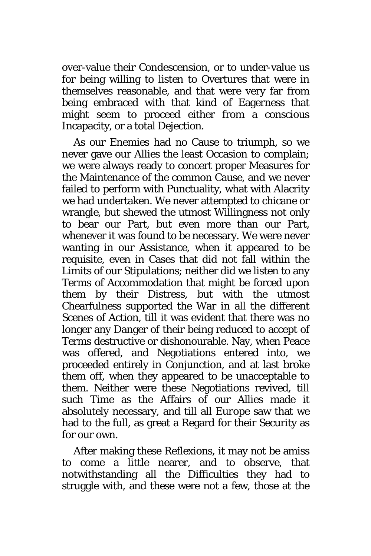over-value their Condescension, or to under-value us for being willing to listen to Overtures that were in themselves reasonable, and that were very far from being embraced with that kind of Eagerness that might seem to proceed either from a conscious Incapacity, or a total Dejection.

As our Enemies had no Cause to triumph, so we never gave our Allies the least Occasion to complain; we were always ready to concert proper Measures for the Maintenance of the common Cause, and we never failed to perform with Punctuality, what with Alacrity we had undertaken. We never attempted to chicane or wrangle, but shewed the utmost Willingness not only to bear our Part, but even more than our Part, whenever it was found to be necessary. We were never wanting in our Assistance, when it appeared to be requisite, even in Cases that did not fall within the Limits of our Stipulations; neither did we listen to any Terms of Accommodation that might be forced upon them by their Distress, but with the utmost Chearfulness supported the War in all the different Scenes of Action, till it was evident that there was no longer any Danger of their being reduced to accept of Terms destructive or dishonourable. Nay, when Peace was offered, and Negotiations entered into, we proceeded entirely in Conjunction, and at last broke them off, when they appeared to be unacceptable to them. Neither were these Negotiations revived, till such Time as the Affairs of our Allies made it absolutely necessary, and till all *Europe* saw that we had to the full, as great a Regard for their Security as for our own.

After making these Reflexions, it may not be amiss to come a little nearer, and to observe, that notwithstanding all the Difficulties they had to struggle with, and these were not a few, those at the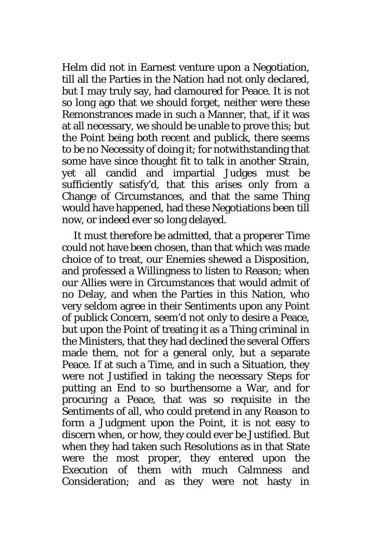Helm did not in Earnest venture upon a Negotiation, till all the Parties in the Nation had not only declared, but I may truly say, had clamoured for Peace. It is not so long ago that we should forget, neither were these Remonstrances made in such a Manner, that, if it was at all necessary, we should be unable to prove this; but the Point being both recent and publick, there seems to be no Necessity of doing it; for notwithstanding that some have since thought fit to talk in another Strain, yet all candid and impartial Judges must be sufficiently satisfy'd, that this arises only from a Change of Circumstances, and that the same Thing would have happened, had these Negotiations been till now, or indeed ever so long delayed.

It must therefore be admitted, that a properer Time could not have been chosen, than that which was made choice of to treat, our Enemies shewed a Disposition, and professed a Willingness to listen to Reason; when our Allies were in Circumstances that would admit of no Delay, and when the Parties in this Nation, who very seldom agree in their Sentiments upon any Point of publick Concern, seem'd not only to desire a Peace, but upon the Point of treating it as a Thing criminal in the Ministers, that they had declined the several Offers made them, not for a general only, but a separate Peace. If at such a Time, and in such a Situation, they were not Justified in taking the necessary Steps for putting an End to so burthensome a War, and for procuring a Peace, that was so requisite in the Sentiments of all, who could pretend in any Reason to form a Judgment upon the Point, it is not easy to discern when, or how, they could ever be Justified. But when they had taken such Resolutions as in that State were the most proper, they entered upon the Execution of them with much Calmness and Consideration; and as they were not hasty in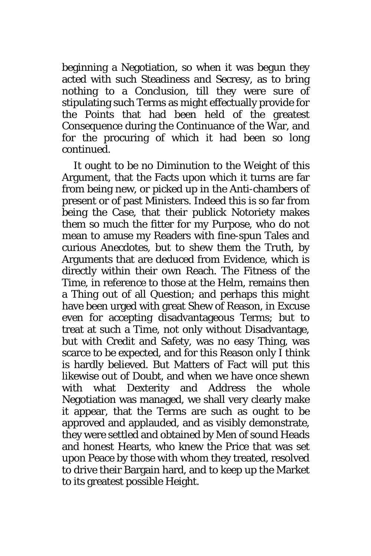beginning a Negotiation, so when it was begun they acted with such Steadiness and Secresy, as to bring nothing to a Conclusion, till they were sure of stipulating such Terms as might effectually provide for the Points that had been held of the greatest Consequence during the Continuance of the War, and for the procuring of which it had been so long continued.

It ought to be no Diminution to the Weight of this Argument, that the Facts upon which it turns are far from being new, or picked up in the Anti-chambers of present or of past Ministers. Indeed this is so far from being the Case, that their publick Notoriety makes them so much the fitter for my Purpose, who do not mean to amuse my Readers with fine-spun Tales and curious Anecdotes, but to shew them the Truth, by Arguments that are deduced from Evidence, which is directly within their own Reach. The Fitness of the Time, in reference to those at the Helm, remains then a Thing out of all Question; and perhaps this might have been urged with great Shew of Reason, in Excuse even for accepting disadvantageous Terms; but to treat at such a Time, not only without Disadvantage, but with Credit and Safety, was no easy Thing, was scarce to be expected, and for this Reason only I think is hardly believed. But Matters of Fact will put this likewise out of Doubt, and when we have once shewn with what Dexterity and Address the whole Negotiation was managed, we shall very clearly make it appear, that the Terms are such as ought to be approved and applauded, and as visibly demonstrate, they were settled and obtained by Men of sound Heads and honest Hearts, who knew the Price that was set upon Peace by those with whom they treated, resolved to drive their Bargain hard, and to keep up the Market to its greatest possible Height.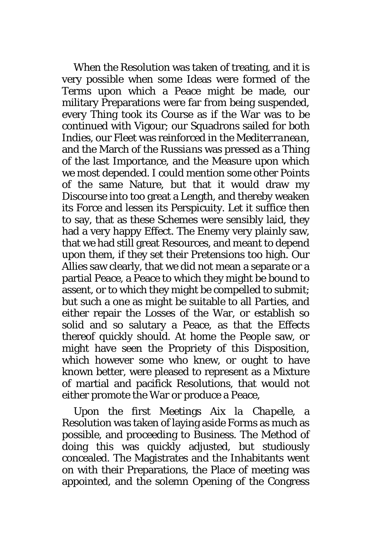When the Resolution was taken of treating, and it is very possible when some Ideas were formed of the Terms upon which a Peace might be made, our military Preparations were far from being suspended, every Thing took its Course as if the War was to be continued with Vigour; our Squadrons sailed for both *Indies*, our Fleet was reinforced in the *Mediterranean*, and the March of the *Russians* was pressed as a Thing of the last Importance, and the Measure upon which we most depended. I could mention some other Points of the same Nature, but that it would draw my Discourse into too great a Length, and thereby weaken its Force and lessen its Perspicuity. Let it suffice then to say, that as these Schemes were sensibly laid, they had a very happy Effect. The Enemy very plainly saw, that we had still great Resources, and meant to depend upon them, if they set their Pretensions too high. Our Allies saw clearly, that we did not mean a separate or a partial Peace, a Peace to which they might be bound to assent, or to which they might be compelled to submit; but such a one as might be suitable to all Parties, and either repair the Losses of the War, or establish so solid and so salutary a Peace, as that the Effects thereof quickly should. At home the People saw, or might have seen the Propriety of this Disposition, which however some who knew, or ought to have known better, were pleased to represent as a Mixture of martial and pacifick Resolutions, that would not either promote the War or produce a Peace,

Upon the first Meetings *Aix la Chapelle*, a Resolution was taken of laying aside Forms as much as possible, and proceeding to Business. The Method of doing this was quickly adjusted, but studiously concealed. The Magistrates and the Inhabitants went on with their Preparations, the Place of meeting was appointed, and the solemn Opening of the Congress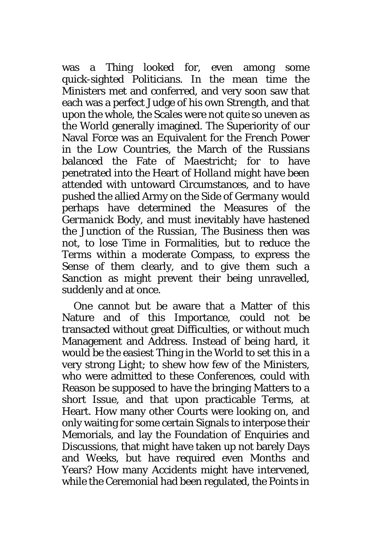was a Thing looked for, even among some quick-sighted Politicians. In the mean time the Ministers met and conferred, and very soon saw that each was a perfect Judge of his own Strength, and that upon the whole, the Scales were not quite so uneven as the World generally imagined. The Superiority of our Naval Force was an Equivalent for the *French* Power in the *Low Countries*, the March of the *Russians* balanced the Fate of *Maestricht*; for to have penetrated into the Heart of *Holland* might have been attended with untoward Circumstances, and to have pushed the allied Army on the Side of *Germany* would perhaps have determined the Measures of the *Germanick* Body, and must inevitably have hastened the Junction of the *Russian*, The Business then was not, to lose Time in Formalities, but to reduce the Terms within a moderate Compass, to express the Sense of them clearly, and to give them such a Sanction as might prevent their being unravelled, suddenly and at once.

One cannot but be aware that a Matter of this Nature and of this Importance, could not be transacted without great Difficulties, or without much Management and Address. Instead of being hard, it would be the easiest Thing in the World to set this in a very strong Light; to shew how few of the Ministers, who were admitted to these Conferences, could with Reason be supposed to have the bringing Matters to a short Issue, and that upon practicable Terms, at Heart. How many other Courts were looking on, and only waiting for some certain Signals to interpose their Memorials, and lay the Foundation of Enquiries and Discussions, that might have taken up not barely Days and Weeks, but have required even Months and Years? How many Accidents might have intervened, while the Ceremonial had been regulated, the Points in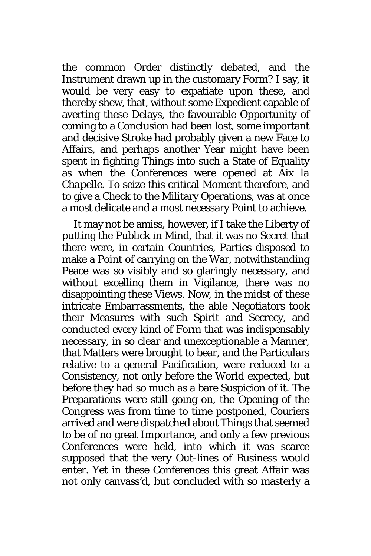the common Order distinctly debated, and the Instrument drawn up in the customary Form? I say, it would be very easy to expatiate upon these, and thereby shew, that, without some Expedient capable of averting these Delays, the favourable Opportunity of coming to a Conclusion had been lost, some important and decisive Stroke had probably given a new Face to Affairs, and perhaps another Year might have been spent in fighting Things into such a State of Equality as when the Conferences were opened at *Aix la Chapelle.* To seize this critical Moment therefore, and to give a Check to the Military Operations, was at once a most delicate and a most necessary Point to achieve.

It may not be amiss, however, if I take the Liberty of putting the Publick in Mind, that it was no Secret that there were, in certain Countries, Parties disposed to make a Point of carrying on the War, notwithstanding Peace was so visibly and so glaringly necessary, and without excelling them in Vigilance, there was no disappointing these Views. Now, in the midst of these intricate Embarrassments, the able Negotiators took their Measures with such Spirit and Secrecy, and conducted every kind of Form that was indispensably necessary, in so clear and unexceptionable a Manner, that Matters were brought to bear, and the Particulars relative to a general Pacification, were reduced to a Consistency, not only before the World expected, but before they had so much as a bare Suspicion of it. The Preparations were still going on, the Opening of the Congress was from time to time postponed, Couriers arrived and were dispatched about Things that seemed to be of no great Importance, and only a few previous Conferences were held, into which it was scarce supposed that the very Out-lines of Business would enter. Yet in these Conferences this great Affair was not only canvass'd, but concluded with so masterly a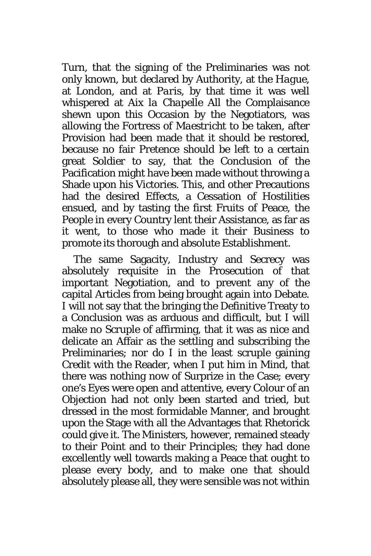Turn, that the signing of the Preliminaries was not only known, but declared by Authority, at the *Hague*, at *London*, and at *Paris*, by that time it was well whispered at *Aix la Chapelle* All the Complaisance shewn upon this Occasion by the Negotiators, was allowing the Fortress of *Maestricht* to be taken, after Provision had been made that it should be restored, because no fair Pretence should be left to a certain great Soldier to say, that the Conclusion of the Pacification might have been made without throwing a Shade upon his Victories. This, and other Precautions had the desired Effects, a Cessation of Hostilities ensued, and by tasting the first Fruits of Peace, the People in every Country lent their Assistance, as far as it went, to those who made it their Business to promote its thorough and absolute Establishment.

The same Sagacity, Industry and Secrecy was absolutely requisite in the Prosecution of that important Negotiation, and to prevent any of the capital Articles from being brought again into Debate. I will not say that the bringing the Definitive Treaty to a Conclusion was as arduous and difficult, but I will make no Scruple of affirming, that it was as nice and delicate an Affair as the settling and subscribing the Preliminaries; nor do I in the least scruple gaining Credit with the Reader, when I put him in Mind, that there was nothing now of Surprize in the Case; every one's Eyes were open and attentive, every Colour of an Objection had not only been started and tried, but dressed in the most formidable Manner, and brought upon the Stage with all the Advantages that Rhetorick could give it. The Ministers, however, remained steady to their Point and to their Principles; they had done excellently well towards making a Peace that ought to please every body, and to make one that should absolutely please all, they were sensible was not within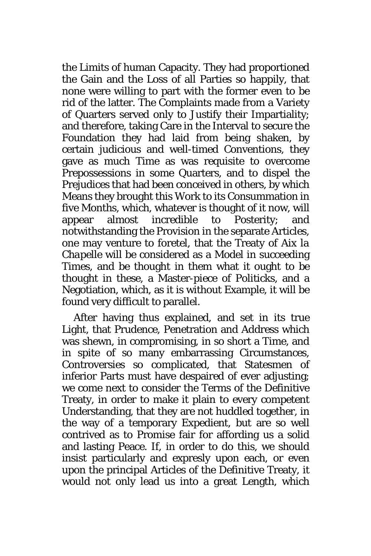the Limits of human Capacity. They had proportioned the Gain and the Loss of all Parties so happily, that none were willing to part with the former even to be rid of the latter. The Complaints made from a Variety of Quarters served only to Justify their Impartiality; and therefore, taking Care in the Interval to secure the Foundation they had laid from being shaken, by certain judicious and well-timed Conventions, they gave as much Time as was requisite to overcome Prepossessions in some Quarters, and to dispel the Prejudices that had been conceived in others, by which Means they brought this Work to its Consummation in five Months, which, whatever is thought of it now, will appear almost incredible to Posterity; and notwithstanding the Provision in the separate Articles, one may venture to foretel, that the Treaty of *Aix la Chapelle* will be considered as a Model in succeeding Times, and be thought in them what it ought to be thought in these, a Master-piece of Politicks, and a Negotiation, which, as it is without Example, it will be found very difficult to parallel.

After having thus explained, and set in its true Light, that Prudence, Penetration and Address which was shewn, in compromising, in so short a Time, and in spite of so many embarrassing Circumstances, Controversies so complicated, that Statesmen of inferior Parts must have despaired of ever adjusting; we come next to consider the Terms of the Definitive Treaty, in order to make it plain to every competent Understanding, that they are not huddled together, in the way of a temporary Expedient, but are so well contrived as to Promise fair for affording us a solid and lasting Peace. If, in order to do this, we should insist particularly and expresly upon each, or even upon the principal Articles of the Definitive Treaty, it would not only lead us into a great Length, which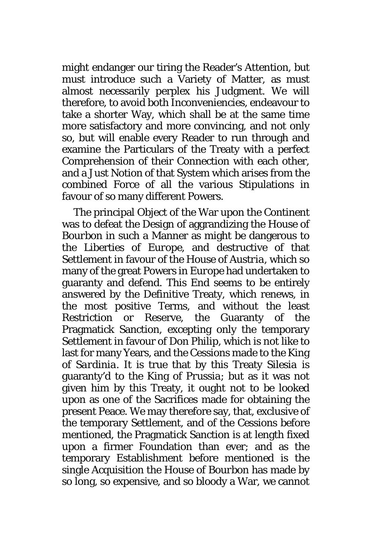might endanger our tiring the Reader's Attention, but must introduce such a Variety of Matter, as must almost necessarily perplex his Judgment. We will therefore, to avoid both Inconveniencies, endeavour to take a shorter Way, which shall be at the same time more satisfactory and more convincing, and not only so, but will enable every Reader to run through and examine the Particulars of the Treaty with a perfect Comprehension of their Connection with each other, and a Just Notion of that System which arises from the combined Force of all the various Stipulations in favour of so many different Powers.

The principal Object of the War upon the Continent was to defeat the Design of aggrandizing the House of *Bourbon* in such a Manner as might be dangerous to the Liberties of *Europe*, and destructive of that Settlement in favour of the House of *Austria*, which so many of the great Powers in *Europe* had undertaken to guaranty and defend. This End seems to be entirely answered by the Definitive Treaty, which renews, in the most positive Terms, and without the least Restriction or Reserve, the Guaranty of the Pragmatick Sanction, excepting only the temporary Settlement in favour of Don *Philip*, which is not like to last for many Years, and the Cessions made to the King of *Sardinia*. It is true that by this Treaty *Silesia* is guaranty'd to the King of *Prussia*; but as it was not given him by this Treaty, it ought not to be looked upon as one of the Sacrifices made for obtaining the present Peace. We may therefore say, that, exclusive of the temporary Settlement, and of the Cessions before mentioned, the Pragmatick Sanction is at length fixed upon a firmer Foundation than ever; and as the temporary Establishment before mentioned is the single Acquisition the House of *Bourbon* has made by so long, so expensive, and so bloody a War, we cannot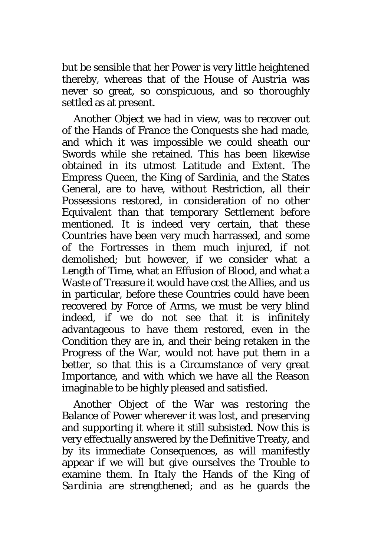but be sensible that her Power is very little heightened thereby, whereas that of the House of *Austria* was never so great, so conspicuous, and so thoroughly settled as at present.

Another Object we had in view, was to recover out of the Hands of France the Conquests she had made, and which it was impossible we could sheath our Swords while she retained. This has been likewise obtained in its utmost Latitude and Extent. The Empress Queen, the King of Sardinia, and the States General, are to have, without Restriction, all their Possessions restored, in consideration of no other Equivalent than that temporary Settlement before mentioned. It is indeed very certain, that these Countries have been very much harrassed, and some of the Fortresses in them much injured, if not demolished; but however, if we consider what a Length of Time, what an Effusion of Blood, and what a Waste of Treasure it would have cost the Allies, and us in particular, before these Countries could have been recovered by Force of Arms, we must be very blind indeed, if we do not see that it is infinitely advantageous to have them restored, even in the Condition they are in, and their being retaken in the Progress of the War, would not have put them in a better, so that this is a Circumstance of very great Importance, and with which we have all the Reason imaginable to be highly pleased and satisfied.

Another Object of the War was restoring the Balance of Power wherever it was lost, and preserving and supporting it where it still subsisted. Now this is very effectually answered by the Definitive Treaty, and by its immediate Consequences, as will manifestly appear if we will but give ourselves the Trouble to examine them. In *Italy* the Hands of the King of *Sardinia* are strengthened; and as he guards the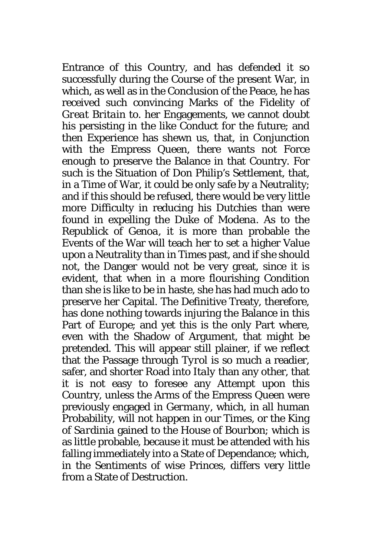Entrance of this Country, and has defended it so successfully during the Course of the present War, in which, as well as in the Conclusion of the Peace, he has received such convincing Marks of the Fidelity of *Great Britain* to. her Engagements, we cannot doubt his persisting in the like Conduct for the future; and then Experience has shewn us, that, in Conjunction with the Empress Queen, there wants not Force enough to preserve the Balance in that Country. For such is the Situation of Don *Philip*'s Settlement, that, in a Time of War, it could be only safe by a Neutrality; and if this should be refused, there would be very little more Difficulty in reducing his Dutchies than were found in expelling the Duke of *Modena*. As to the Republick of *Genoa*, it is more than probable the Events of the War will teach her to set a higher Value upon a Neutrality than in Times past, and if she should not, the Danger would not be very great, since it is evident, that when in a more flourishing Condition than she is like to be in haste, she has had much ado to preserve her Capital. The Definitive Treaty, therefore, has done nothing towards injuring the Balance in this Part of *Europe*; and yet this is the only Part where, even with the Shadow of Argument, that might be pretended. This will appear still plainer, if we reflect that the Passage through *Tyrol* is so much a readier, safer, and shorter Road into *Italy* than any other, that it is not easy to foresee any Attempt upon this Country, unless the Arms of the Empress Queen were previously engaged in *Germany*, which, in all human Probability, will not happen in our Times, or the King of *Sardinia* gained to the House of *Bourbon*; which is as little probable, because it must be attended with his falling immediately into a State of Dependance; which, in the Sentiments of wise Princes, differs very little from a State of Destruction.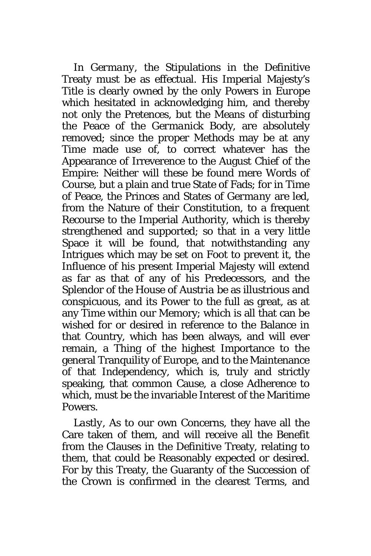In *Germany*, the Stipulations in the Definitive Treaty must be as effectual. His Imperial Majesty's Title is clearly owned by the only Powers in *Europe* which hesitated in acknowledging him, and thereby not only the Pretences, but the Means of disturbing the Peace of the *Germanick* Body, are absolutely removed; since the proper Methods may be at any Time made use of, to correct whatever has the Appearance of Irreverence to the August Chief of the Empire: Neither will these be found mere Words of Course, but a plain and true State of Fads; for in Time of Peace, the Princes and States of *Germany* are led, from the Nature of their Constitution, to a frequent Recourse to the Imperial Authority, which is thereby strengthened and supported; so that in a very little Space it will be found, that notwithstanding any Intrigues which may be set on Foot to prevent it, the Influence of his present Imperial Majesty will extend as far as that of any of his Predecessors, and the Splendor of the House of *Austria* be as illustrious and conspicuous, and its Power to the full as great, as at any Time within our Memory; which is all that can be wished for or desired in reference to the Balance in that Country, which has been always, and will ever remain, a Thing of the highest Importance to the general Tranquility of Europe, and to the Maintenance of that Independency, which is, truly and strictly speaking, that common Cause, a close Adherence to which, must be the invariable Interest of the Maritime Powers.

*Lastly*, As to our own Concerns, they have all the Care taken of them, and will receive all the Benefit from the Clauses in the Definitive Treaty, relating to them, that could be Reasonably expected or desired. For by this Treaty, the Guaranty of the Succession of the Crown is confirmed in the clearest Terms, and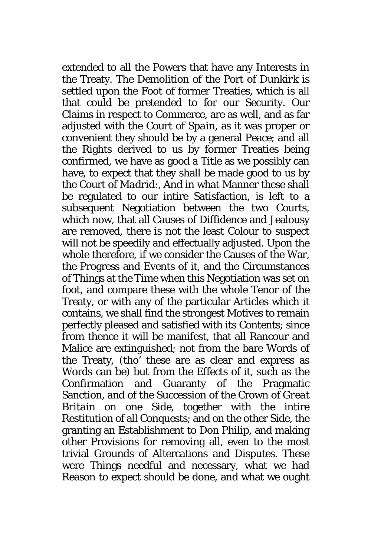extended to all the Powers that have any Interests in the Treaty. The Demolition of the Port of *Dunkirk* is settled upon the Foot of former Treaties, which is all that could be pretended to for our Security. Our Claims in respect to Commerce, are as well, and as far adjusted with the Court of *Spain*, as it was proper or convenient they should be by a general Peace; and all the Rights derived to us by former Treaties being confirmed, we have as good a Title as we possibly can have, to expect that they shall be made good to us by the Court of *Madrid*:, And in what Manner these shall be regulated to our intire Satisfaction, is left to a subsequent Negotiation between the two Courts, which now, that all Causes of Diffidence and Jealousy are removed, there is not the least Colour to suspect will not be speedily and effectually adjusted. Upon the whole therefore, if we consider the Causes of the War, the Progress and Events of it, and the Circumstances of Things at the Time when this Negotiation was set on foot, and compare these with the whole Tenor of the Treaty, or with any of the particular Articles which it contains, we shall find the strongest Motives to remain perfectly pleased and satisfied with its Contents; since from thence it will be manifest, that all Rancour and Malice are extinguished; not from the bare Words of the Treaty, (tho' these are as clear and express as Words can be) but from the Effects of it, such as the Confirmation and Guaranty of the Pragmatic Sanction, and of the Succession of the Crown of *Great Britain* on one Side, together with the intire Restitution of all Conquests; and on the other Side, the granting an Establishment to Don *Philip,* and making other Provisions for removing all, even to the most trivial Grounds of Altercations and Disputes. These were Things needful and necessary, what we had Reason to expect should be done, and what we ought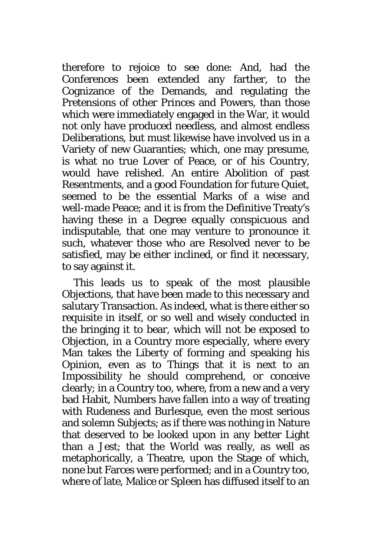therefore to rejoice to see done: And, had the Conferences been extended any farther, to the Cognizance of the Demands, and regulating the Pretensions of other Princes and Powers, than those which were immediately engaged in the War, it would not only have produced needless, and almost endless Deliberations, but must likewise have involved us in a Variety of new Guaranties; which, one may presume, is what no true Lover of Peace, or of his Country, would have relished. An entire Abolition of past Resentments, and a good Foundation for future Quiet, seemed to be the essential Marks of a wise and well-made Peace; and it is from the Definitive Treaty's having these in a Degree equally conspicuous and indisputable, that one may venture to pronounce it such, whatever those who are Resolved never to be satisfied, may be either inclined, or find it necessary, to say against it.

This leads us to speak of the most plausible Objections, that have been made to this necessary and salutary Transaction. As indeed, what is there either so requisite in itself, or so well and wisely conducted in the bringing it to bear, which will not be exposed to Objection, in a Country more especially, where every Man takes the Liberty of forming and speaking his Opinion, even as to Things that it is next to an Impossibility he should comprehend, or conceive clearly; in a Country too, where, from a new and a very bad Habit, Numbers have fallen into a way of treating with Rudeness and Burlesque, even the most serious and solemn Subjects; as if there was nothing in Nature that deserved to be looked upon in any better Light than a Jest; that the World was really, as well as metaphorically, a Theatre, upon the Stage of which, none but Farces were performed; and in a Country too, where of late, Malice or Spleen has diffused itself to an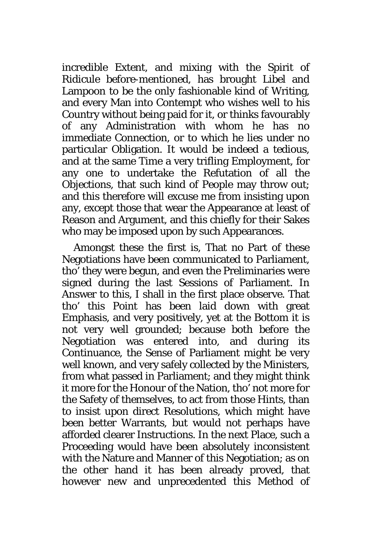incredible Extent, and mixing with the Spirit of Ridicule before-mentioned, has brought Libel and Lampoon to be the only fashionable kind of Writing, and every Man into Contempt who wishes well to his Country without being paid for it, or thinks favourably of any Administration with whom he has no immediate Connection, or to which he lies under no particular Obligation. It would be indeed a tedious, and at the same Time a very trifling Employment, for any one to undertake the Refutation of all the Objections, that such kind of People may throw out; and this therefore will excuse me from insisting upon any, except those that wear the Appearance at least of Reason and Argument, and this chiefly for their Sakes who may be imposed upon by such Appearances.

Amongst these the first is, That no Part of these Negotiations have been communicated to Parliament, tho' they were begun, and even the Preliminaries were signed during the last Sessions of Parliament. In Answer to this, I shall in the first place observe. That tho' this Point has been laid down with great Emphasis, and very positively, yet at the Bottom it is not very well grounded; because both before the Negotiation was entered into, and during its Continuance, the Sense of Parliament might be very well known, and very safely collected by the Ministers, from what passed in Parliament; and they might think it more for the Honour of the Nation, tho' not more for the Safety of themselves, to act from those Hints, than to insist upon direct Resolutions, which might have been better Warrants, but would not perhaps have afforded clearer Instructions. In the next Place, such a Proceeding would have been absolutely inconsistent with the Nature and Manner of this Negotiation; as on the other hand it has been already proved, that however new and unprecedented this Method of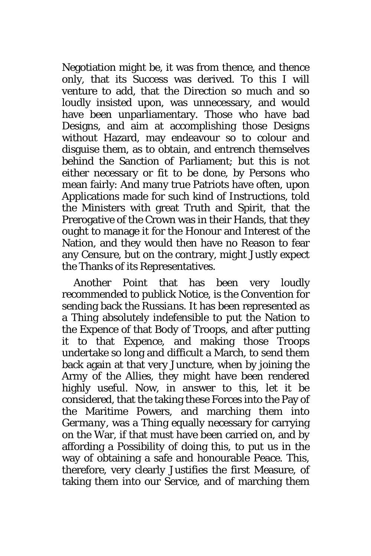Negotiation might be, it was from thence, and thence only, that its Success was derived. To this I will venture to add, that the Direction so much and so loudly insisted upon, was unnecessary, and would have been unparliamentary. Those who have bad Designs, and aim at accomplishing those Designs without Hazard, may endeavour so to colour and disguise them, as to obtain, and entrench themselves behind the Sanction of Parliament; but this is not either necessary or fit to be done, by Persons who mean fairly: And many true Patriots have often, upon Applications made for such kind of Instructions, told the Ministers with great Truth and Spirit, that the Prerogative of the Crown was in their Hands, that they ought to manage it for the Honour and Interest of the Nation, and they would then have no Reason to fear any Censure, but on the contrary, might Justly expect the Thanks of its Representatives.

Another Point that has been very loudly recommended to publick Notice, is the Convention for sending back the *Russians*. It has been represented as a Thing absolutely indefensible to put the Nation to the Expence of that Body of Troops, and after putting it to that Expence, and making those Troops undertake so long and difficult a March, to send them back again at that very Juncture, when by joining the Army of the Allies, they might have been rendered highly useful. Now, in answer to this, let it be considered, that the taking these Forces into the Pay of the Maritime Powers, and marching them into *Germany*, was a Thing equally necessary for carrying on the War, if that must have been carried on, and by affording a Possibility of doing this, to put us in the way of obtaining a safe and honourable Peace. This, therefore, very clearly Justifies the first Measure, of taking them into our Service, and of marching them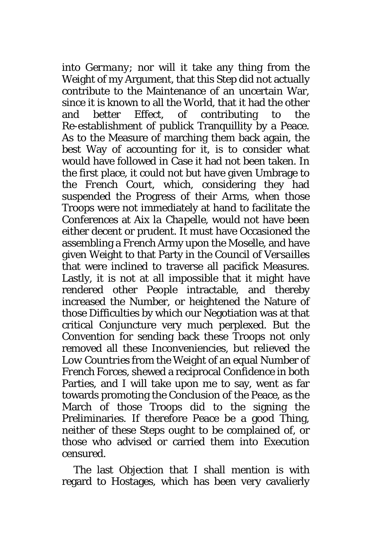into *Germany*; nor will it take any thing from the Weight of my Argument, that this Step did not actually contribute to the Maintenance of an uncertain War, since it is known to all the World, that it had the other and better Effect, of contributing to the Re-establishment of publick Tranquillity by a Peace. As to the Measure of marching them back again, the best Way of accounting for it, is to consider what would have followed in Case it had not been taken. In the first place, it could not but have given Umbrage to the *French* Court, which, considering they had suspended the Progress of their Arms, when those Troops were not immediately at hand to facilitate the Conferences at *Aix la Chapelle,* would not have been either decent or prudent. It must have Occasioned the assembling a *French* Army upon the *Moselle*, and have given Weight to that Party in the Council of *Versailles* that were inclined to traverse all pacifick Measures. Lastly, it is not at all impossible that it might have rendered other People intractable, and thereby increased the Number, or heightened the Nature of those Difficulties by which our Negotiation was at that critical Conjuncture very much perplexed. But the Convention for sending back these Troops not only removed all these Inconveniencies, but relieved the *Low Countries* from the Weight of an equal Number of *French* Forces, shewed a reciprocal Confidence in both Parties, and I will take upon me to say, went as far towards promoting the Conclusion of the Peace, as the March of those Troops did to the signing the Preliminaries. If therefore Peace be a good Thing, neither of these Steps ought to be complained of, or those who advised or carried them into Execution censured.

The last Objection that I shall mention is with regard to Hostages, which has been very cavalierly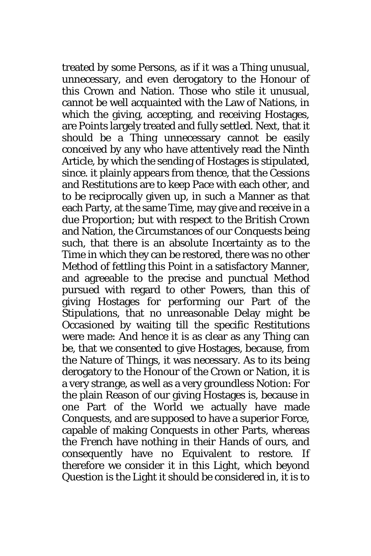treated by some Persons, as if it was a Thing unusual, unnecessary, and even derogatory to the Honour of this Crown and Nation. Those who stile it unusual, cannot be well acquainted with the Law of Nations, in which the giving, accepting, and receiving Hostages, are Points largely treated and fully settled. Next, that it should be a Thing unnecessary cannot be easily conceived by any who have attentively read the Ninth Article, by which the sending of Hostages is stipulated, since. it plainly appears from thence, that the Cessions and Restitutions are to keep Pace with each other, and to be reciprocally given up, in such a Manner as that each Party, at the same Time, may give and receive in a due Proportion; but with respect to the *British* Crown and Nation, the Circumstances of our Conquests being such, that there is an absolute Incertainty as to the Time in which they can be restored, there was no other Method of fettling this Point in a satisfactory Manner, and agreeable to the precise and punctual Method pursued with regard to other Powers, than this of giving Hostages for performing our Part of the Stipulations, that no unreasonable Delay might be Occasioned by waiting till the specific Restitutions were made: And hence it is as clear as any Thing can be, that we consented to give Hostages, because, from the Nature of Things, it was necessary. As to its being derogatory to the Honour of the Crown or Nation, it is a very strange, as well as a very groundless Notion: For the plain Reason of our giving Hostages is, because in one Part of the World we actually have made Conquests, and are supposed to have a superior Force, capable of making Conquests in other Parts, whereas the *French* have nothing in their Hands of ours, and consequently have no Equivalent to restore. If therefore we consider it in this Light, which beyond Question is the Light it should be considered in, it is to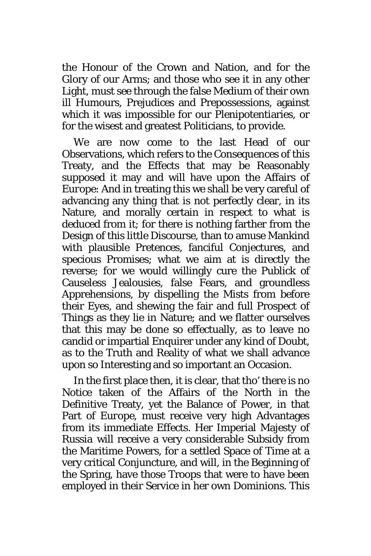the Honour of the Crown and Nation, and for the Glory of our Arms; and those who see it in any other Light, must see through the false Medium of their own ill Humours, Prejudices and Prepossessions, against which it was impossible for our Plenipotentiaries, or for the wisest and greatest Politicians, to provide.

We are now come to the last Head of our Observations, which refers to the Consequences of this Treaty, and the Effects that may be Reasonably supposed it may and will have upon the Affairs of *Europe*: And in treating this we shall be very careful of advancing any thing that is not perfectly clear, in its Nature, and morally certain in respect to what is deduced from it; for there is nothing farther from the Design of this little Discourse, than to amuse Mankind with plausible Pretences, fanciful Conjectures, and specious Promises; what we aim at is directly the reverse; for we would willingly cure the Publick of Causeless Jealousies, false Fears, and groundless Apprehensions, by dispelling the Mists from before their Eyes, and shewing the fair and full Prospect of Things as they lie in Nature; and we flatter ourselves that this may be done so effectually, as to leave no candid or impartial Enquirer under any kind of Doubt, as to the Truth and Reality of what we shall advance upon so Interesting and so important an Occasion.

In the first place then, it is clear, that tho' there is no Notice taken of the Affairs of the North in the Definitive Treaty, yet the Balance of Power, in that Part of *Europe*, must receive very high Advantages from its immediate Effects. Her Imperial Majesty of *Russia* will receive a very considerable Subsidy from the Maritime Powers, for a settled Space of Time at a very critical Conjuncture, and will, in the Beginning of the Spring, have those Troops that were to have been employed in their Service in her own Dominions. This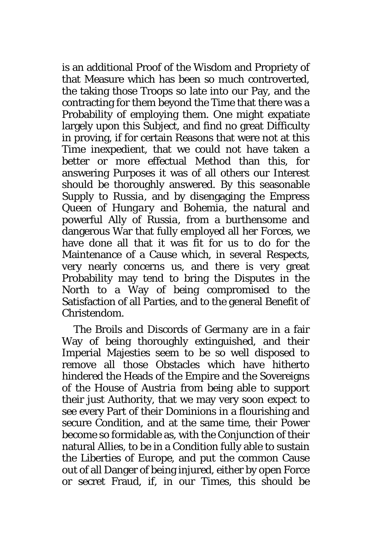is an additional Proof of the Wisdom and Propriety of that Measure which has been so much controverted, the taking those Troops so late into our Pay, and the contracting for them beyond the Time that there was a Probability of employing them. One might expatiate largely upon this Subject, and find no great Difficulty in proving, if for certain Reasons that were not at this Time inexpedient, that we could not have taken a better or more effectual Method than this, for answering Purposes it was of all others our Interest should be thoroughly answered. By this seasonable Supply to *Russia*, and by disengaging the Empress Queen of *Hungary* and *Bohemia*, the natural and powerful Ally of *Russia*, from a burthensome and dangerous War that fully employed all her Forces, we have done all that it was fit for us to do for the Maintenance of a Cause which, in several Respects, very nearly concerns us, and there is very great Probability may tend to bring the Disputes in the North to a Way of being compromised to the Satisfaction of all Parties, and to the general Benefit of Christendom.

The Broils and Discords of *Germany* are in a fair Way of being thoroughly extinguished, and their Imperial Majesties seem to be so well disposed to remove all those Obstacles which have hitherto hindered the Heads of the Empire and the Sovereigns of the House of *Austria* from being able to support their just Authority, that we may very soon expect to see every Part of their Dominions in a flourishing and secure Condition, and at the same time, their Power become so formidable as, with the Conjunction of their natural Allies, to be in a Condition fully able to sustain the Liberties of *Europe*, and put the common Cause out of all Danger of being injured, either by open Force or secret Fraud, if, in our Times, this should be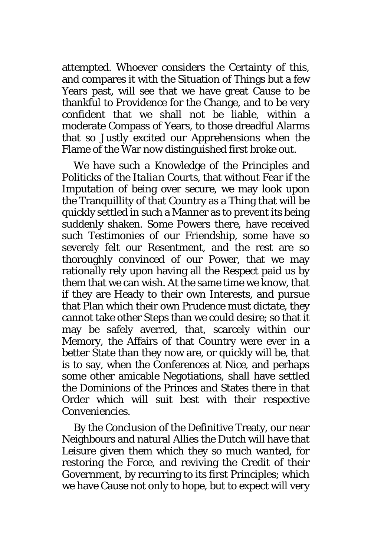attempted. Whoever considers the Certainty of this, and compares it with the Situation of Things but a few Years past, will see that we have great Cause to be thankful to Providence for the Change, and to be very confident that we shall not be liable, within a moderate Compass of Years, to those dreadful Alarms that so Justly excited our Apprehensions when the Flame of the War now distinguished first broke out.

We have such a Knowledge of the Principles and Politicks of the *Italian* Courts, that without Fear if the Imputation of being over secure, we may look upon the Tranquillity of that Country as a Thing that will be quickly settled in such a Manner as to prevent its being suddenly shaken. Some Powers there, have received such Testimonies of our Friendship, some have so severely felt our Resentment, and the rest are so thoroughly convinced of our Power, that we may rationally rely upon having all the Respect paid us by them that we can wish. At the same time we know, that if they are Heady to their own Interests, and pursue that Plan which their own Prudence must dictate, they cannot take other Steps than we could desire; so that it may be safely averred, that, scarcely within our Memory, the Affairs of that Country were ever in a better State than they now are, or quickly will be, that is to say, when the Conferences at *Nice*, and perhaps some other amicable Negotiations, shall have settled the Dominions of the Princes and States there in that Order which will suit best with their respective Conveniencies.

By the Conclusion of the Definitive Treaty, our near Neighbours and natural Allies the *Dutch* will have that Leisure given them which they so much wanted, for restoring the Force, and reviving the Credit of their Government, by recurring to its first Principles; which we have Cause not only to hope, but to expect will very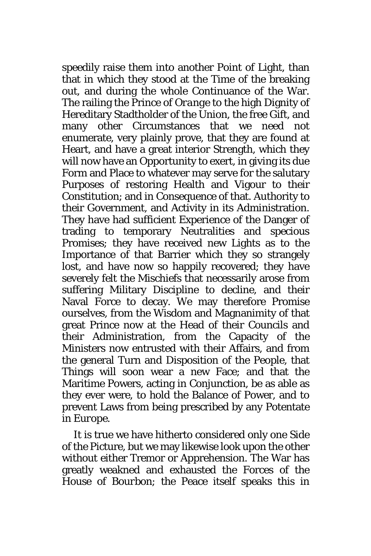speedily raise them into another Point of Light, than that in which they stood at the Time of the breaking out, and during the whole Continuance of the War. The railing the Prince of *Orange* to the high Dignity of Hereditary Stadtholder of the Union, the free Gift, and many other Circumstances that we need not enumerate, very plainly prove, that they are found at Heart, and have a great interior Strength, which they will now have an Opportunity to exert, in giving its due Form and Place to whatever may serve for the salutary Purposes of restoring Health and Vigour to their Constitution; and in Consequence of that. Authority to their Government, and Activity in its Administration. They have had sufficient Experience of the Danger of trading to temporary Neutralities and specious Promises; they have received new Lights as to the Importance of that Barrier which they so strangely lost, and have now so happily recovered; they have severely felt the Mischiefs that necessarily arose from suffering Military Discipline to decline, and their Naval Force to decay. We may therefore Promise ourselves, from the Wisdom and Magnanimity of that great Prince now at the Head of their Councils and their Administration, from the Capacity of the Ministers now entrusted with their Affairs, and from the general Turn and Disposition of the People, that Things will soon wear a new Face; and that the Maritime Powers, acting in Conjunction, be as able as they ever were, to hold the Balance of Power, and to prevent Laws from being prescribed by any Potentate in *Europe*.

It is true we have hitherto considered only one Side of the Picture, but we may likewise look upon the other without either Tremor or Apprehension. The War has greatly weakned and exhausted the Forces of the House of *Bourbon*; the Peace itself speaks this in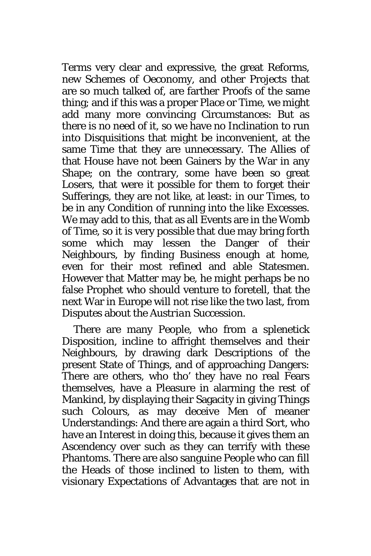Terms very clear and expressive, the great Reforms, new Schemes of Oeconomy, and other Projects that are so much talked of, are farther Proofs of the same thing; and if this was a proper Place or Time, we might add many more convincing Circumstances: But as there is no need of it, so we have no Inclination to run into Disquisitions that might be inconvenient, at the same Time that they are unnecessary. The Allies of that House have not been Gainers by the War in any Shape; on the contrary, some have been so great Losers, that were it possible for them to forget their Sufferings, they are not like, at least: in our Times, to be in any Condition of running into the like Excesses. We may add to this, that as all Events are in the Womb of Time, so it is very possible that due may bring forth some which may lessen the Danger of their Neighbours, by finding Business enough at home, even for their most refined and able Statesmen. However that Matter may be, he might perhaps be no false Prophet who should venture to foretell, that the next War in Europe will not rise like the two last, from Disputes about the *Austrian* Succession.

There are many People, who from a splenetick Disposition, incline to affright themselves and their Neighbours, by drawing dark Descriptions of the present State of Things, and of approaching Dangers: There are others, who tho' they have no real Fears themselves, have a Pleasure in alarming the rest of Mankind, by displaying their Sagacity in giving Things such Colours, as may deceive Men of meaner Understandings: And there are again a third Sort, who have an Interest in doing this, because it gives them an Ascendency over such as they can terrify with these Phantoms. There are also sanguine People who can fill the Heads of those inclined to listen to them, with visionary Expectations of Advantages that are not in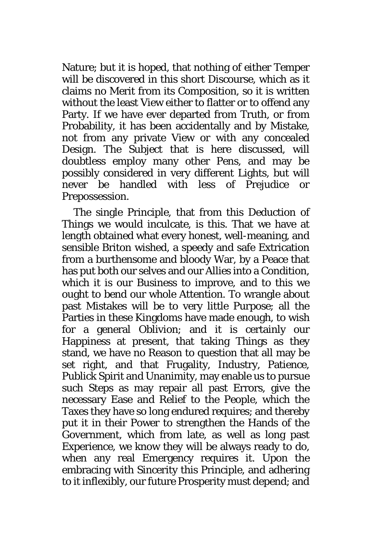Nature; but it is hoped, that nothing of either Temper will be discovered in this short Discourse, which as it claims no Merit from its Composition, so it is written without the least View either to flatter or to offend any Party. If we have ever departed from Truth, or from Probability, it has been accidentally and by Mistake, not from any private View or with any concealed Design. The Subject that is here discussed, will doubtless employ many other Pens, and may be possibly considered in very different Lights, but will never be handled with less of Prejudice or Prepossession.

The single Principle, that from this Deduction of Things we would inculcate, is this. That we have at length obtained what every honest, well-meaning, and sensible Briton wished, a speedy and safe Extrication from a burthensome and bloody War, by a Peace that has put both our selves and our Allies into a Condition, which it is our Business to improve, and to this we ought to bend our whole Attention. To wrangle about past Mistakes will be to very little Purpose; all the Parties in these Kingdoms have made enough, to wish for a general Oblivion; and it is certainly our Happiness at present, that taking Things as they stand, we have no Reason to question that all may be set right, and that Frugality, Industry, Patience, Publick Spirit and Unanimity, may enable us to pursue such Steps as may repair all past Errors, give the necessary Ease and Relief to the People, which the Taxes they have so long endured requires; and thereby put it in their Power to strengthen the Hands of the Government, which from late, as well as long past Experience, we know they will be always ready to do, when any real Emergency requires it. Upon the embracing with Sincerity this Principle, and adhering to it inflexibly, our future Prosperity must depend; and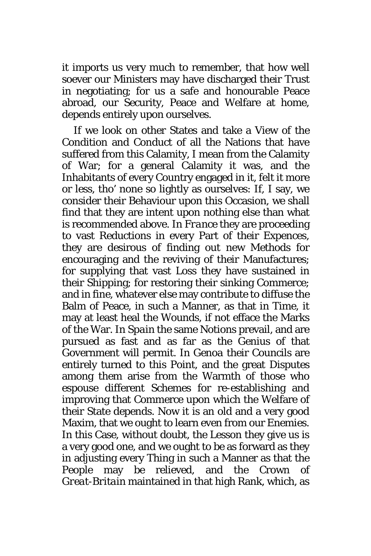it imports us very much to remember, that how well soever our Ministers may have discharged their Trust in negotiating; for us a safe and honourable Peace abroad, our Security, Peace and Welfare at home, depends entirely upon ourselves.

If we look on other States and take a View of the Condition and Conduct of all the Nations that have suffered from this Calamity, I mean from the Calamity of War; for a general Calamity it was, and the Inhabitants of every Country engaged in it, felt it more or less, tho' none so lightly as ourselves: If, I say, we consider their Behaviour upon this Occasion, we shall find that they are intent upon nothing else than what is recommended above. In *France* they are proceeding to vast Reductions in every Part of their Expences, they are desirous of finding out new Methods for encouraging and the reviving of their Manufactures; for supplying that vast Loss they have sustained in their Shipping; for restoring their sinking Commerce; and in fine, whatever else may contribute to diffuse the Balm of Peace, in such a Manner, as that in Time, it may at least heal the Wounds, if not efface the Marks of the War. In *Spain* the same Notions prevail, and are pursued as fast and as far as the Genius of that Government will permit. In *Genoa* their Councils are entirely turned to this Point, and the great Disputes among them arise from the Warmth of those who espouse different Schemes for re-establishing and improving that Commerce upon which the Welfare of their State depends. Now it is an old and a very good Maxim, that we ought to learn even from our Enemies. In this Case, without doubt, the Lesson they give us is a very good one, and we ought to be as forward as they in adjusting every Thing in such a Manner as that the People may be relieved, and the Crown of *Great-Britain* maintained in that high Rank, which, as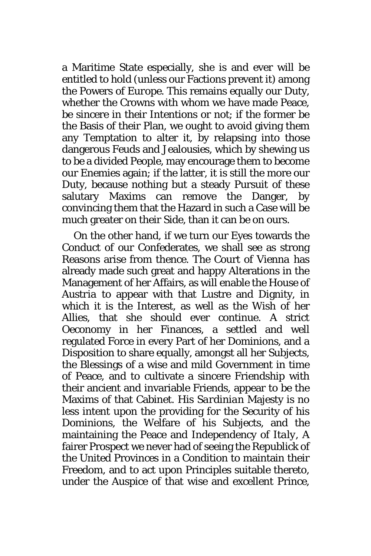a Maritime State especially, she is and ever will be entitled to hold (unless our Factions prevent it) among the Powers of *Europe*. This remains equally our Duty, whether the Crowns with whom we have made Peace, be sincere in their Intentions or not; if the former be the Basis of their Plan, we ought to avoid giving them any Temptation to alter it, by relapsing into those dangerous Feuds and Jealousies, which by shewing us to be a divided People, may encourage them to become our Enemies again; if the latter, it is still the more our Duty, because nothing but a steady Pursuit of these salutary Maxims can remove the Danger, by convincing them that the Hazard in such a Case will be much greater on their Side, than it can be on ours.

On the other hand, if we turn our Eyes towards the Conduct of our Confederates, we shall see as strong Reasons arise from thence. The Court of *Vienna* has already made such great and happy Alterations in the Management of her Affairs, as will enable the House of *Austria* to appear with that Lustre and Dignity, in which it is the Interest, as well as the Wish of her Allies, that she should ever continue. A strict Oeconomy in her Finances, a settled and well regulated Force in every Part of her Dominions, and a Disposition to share equally, amongst all her Subjects, the Blessings of a wise and mild Government in time of Peace, and to cultivate a sincere Friendship with their ancient and invariable Friends, appear to be the Maxims of that Cabinet. His *Sardinian* Majesty is no less intent upon the providing for the Security of his Dominions, the Welfare of his Subjects, and the maintaining the Peace and Independency of *Italy*, A fairer Prospect we never had of seeing the Republick of the United Provinces in a Condition to maintain their Freedom, and to act upon Principles suitable thereto, under the Auspice of that wise and excellent Prince,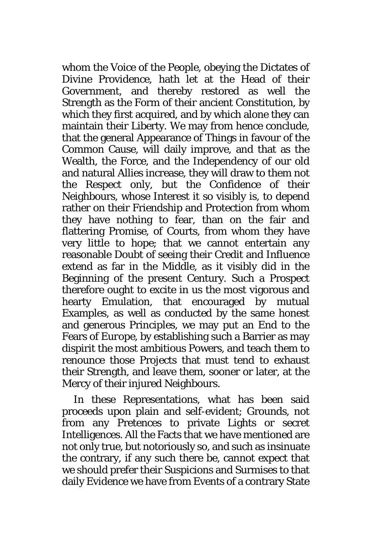whom the Voice of the People, obeying the Dictates of Divine Providence, hath let at the Head of their Government, and thereby restored as well the Strength as the Form of their ancient Constitution, by which they first acquired, and by which alone they can maintain their Liberty. We may from hence conclude, that the general Appearance of Things in favour of the Common Cause, will daily improve, and that as the Wealth, the Force, and the Independency of our old and natural Allies increase, they will draw to them not the Respect only, but the Confidence of their Neighbours, whose Interest it so visibly is, to depend rather on their Friendship and Protection from whom they have nothing to fear, than on the fair and flattering Promise, of Courts, from whom they have very little to hope; that we cannot entertain any reasonable Doubt of seeing their Credit and Influence extend as far in the Middle, as it visibly did in the Beginning of the present Century. Such a Prospect therefore ought to excite in us the most vigorous and hearty Emulation, that encouraged by mutual Examples, as well as conducted by the same honest and generous Principles, we may put an End to the Fears of *Europe*, by establishing such a Barrier as may dispirit the most ambitious Powers, and teach them to renounce those Projects that must tend to exhaust their Strength, and leave them, sooner or later, at the Mercy of their injured Neighbours.

In these Representations, what has been said proceeds upon plain and self-evident; Grounds, not from any Pretences to private Lights or secret Intelligences. All the Facts that we have mentioned are not only true, but notoriously so, and such as insinuate the contrary, if any such there be, cannot expect that we should prefer their Suspicions and Surmises to that daily Evidence we have from Events of a contrary State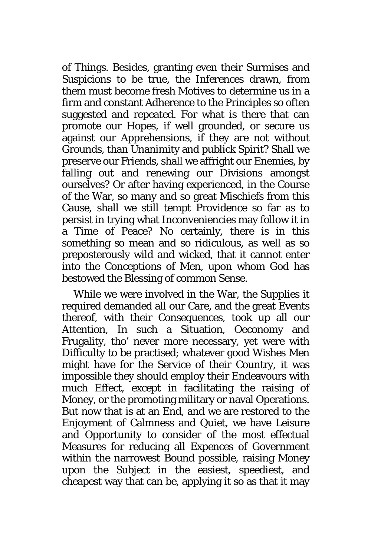of Things. Besides, granting even their Surmises and Suspicions to be true, the Inferences drawn, from them must become fresh Motives to determine us in a firm and constant Adherence to the Principles so often suggested and repeated. For what is there that can promote our Hopes, if well grounded, or secure us against our Apprehensions, if they are not without Grounds, than Unanimity and publick Spirit? Shall we preserve our Friends, shall we affright our Enemies, by falling out and renewing our Divisions amongst ourselves? Or after having experienced, in the Course of the War, so many and so great Mischiefs from this Cause, shall we still tempt Providence so far as to persist in trying what Inconveniencies may follow it in a Time of Peace? No certainly, there is in this something so mean and so ridiculous, as well as so preposterously wild and wicked, that it cannot enter into the Conceptions of Men, upon whom God has bestowed the Blessing of common Sense.

While we were involved in the War, the Supplies it required demanded all our Care, and the great Events thereof, with their Consequences, took up all our Attention, In such a Situation, Oeconomy and Frugality, tho' never more necessary, yet were with Difficulty to be practised; whatever good Wishes Men might have for the Service of their Country, it was impossible they should employ their Endeavours with much Effect, except in facilitating the raising of Money, or the promoting military or naval Operations. But now that is at an End, and we are restored to the Enjoyment of Calmness and Quiet, we have Leisure and Opportunity to consider of the most effectual Measures for reducing all Expences of Government within the narrowest Bound possible, raising Money upon the Subject in the easiest, speediest, and cheapest way that can be, applying it so as that it may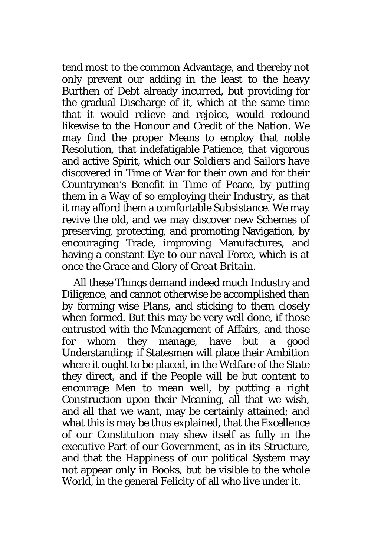tend most to the common Advantage, and thereby not only prevent our adding in the least to the heavy Burthen of Debt already incurred, but providing for the gradual Discharge of it, which at the same time that it would relieve and rejoice, would redound likewise to the Honour and Credit of the Nation. We may find the proper Means to employ that noble Resolution, that indefatigable Patience, that vigorous and active Spirit, which our Soldiers and Sailors have discovered in Time of War for their own and for their Countrymen's Benefit in Time of Peace, by putting them in a Way of so employing their Industry, as that it may afford them a comfortable Subsistance. We may revive the old, and we may discover new Schemes of preserving, protecting, and promoting Navigation, by encouraging Trade, improving Manufactures, and having a constant Eye to our naval Force, which is at once the Grace and Glory of *Great Britain*.

All these Things demand indeed much Industry and Diligence, and cannot otherwise be accomplished than by forming wise Plans, and sticking to them closely when formed. But this may be very well done, if those entrusted with the Management of Affairs, and those for whom they manage, have but a good Understanding; if Statesmen will place their Ambition where it ought to be placed, in the Welfare of the State they direct, and if the People will be but content to encourage Men to mean well, by putting a right Construction upon their Meaning, all that we wish, and all that we want, may be certainly attained; and what this is may be thus explained, that the Excellence of our Constitution may shew itself as fully in the executive Part of our Government, as in its Structure, and that the Happiness of our political System may not appear only in Books, but be visible to the whole World, in the general Felicity of all who live under it.